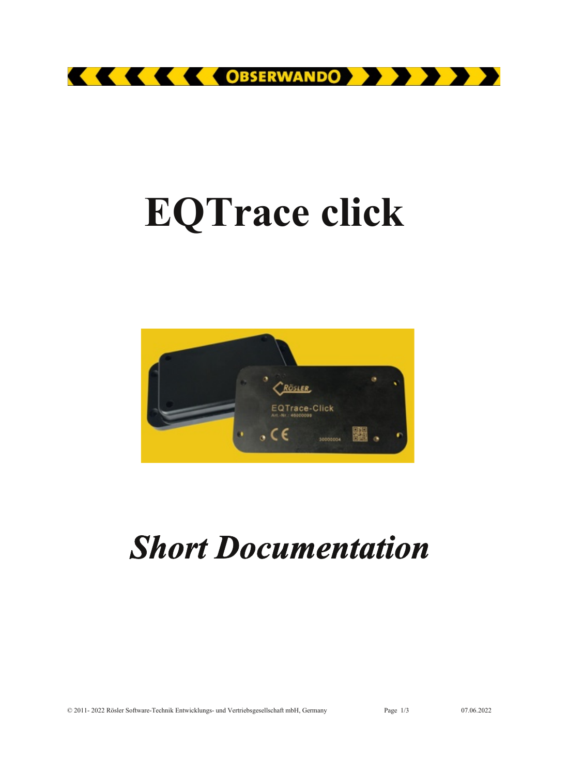

# **EQTrace click**



# *Short Documentation*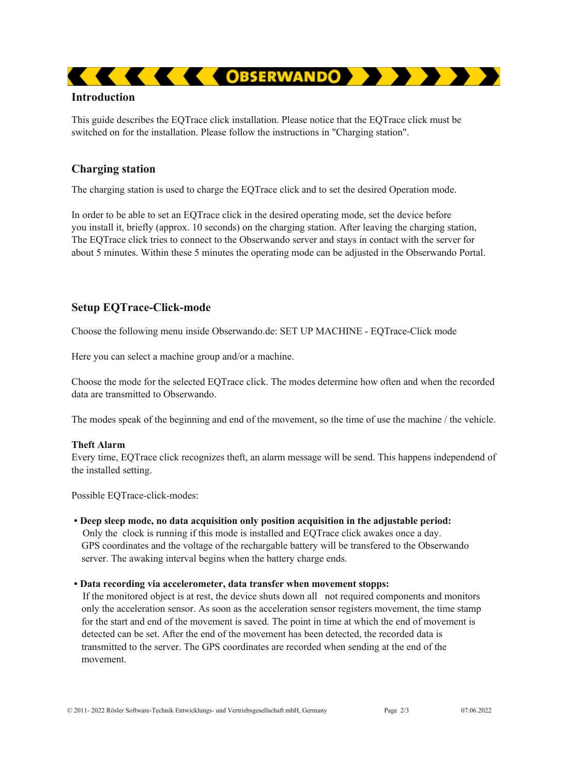# **Introduction**

This guide describes the EQTrace click installation. Please notice that the EQTrace click must be switched on for the installation. Please follow the instructions in "Charging station".

# **Charging station**

The charging station is used to charge the EQTrace click and to set the desired Operation mode.

In order to be able to set an EQTrace click in the desired operating mode, set the device before you install it, briefly (approx. 10 seconds) on the charging station. After leaving the charging station, The EQTrace click tries to connect to the Obserwando server and stays in contact with the server for about 5 minutes. Within these 5 minutes the operating mode can be adjusted in the Obserwando Portal.

# **Setup EQTrace-Click-mode**

Choose the following menu inside Obserwando.de: SET UP MACHINE - EQTrace-Click mode

Here you can select a machine group and/or a machine.

Choose the mode for the selected EQTrace click. The modes determine how often and when the recorded data are transmitted to Obserwando.

The modes speak of the beginning and end of the movement, so the time of use the machine / the vehicle.

#### **Theft Alarm**

Every time, EQTrace click recognizes theft, an alarm message will be send. This happens independend of the installed setting.

Possible EQTrace-click-modes:

**• Deep sleep mode, no data acquisition only position acquisition in the adjustable period:** Only the clock is running if this mode is installed and EQTrace click awakes once a day. GPS coordinates and the voltage of the rechargable battery will be transfered to the Obserwando server. The awaking interval begins when the battery charge ends.

#### **• Data recording via accelerometer, data transfer when movement stopps:**

If the monitored object is at rest, the device shuts down all not required components and monitors only the acceleration sensor. As soon as the acceleration sensor registers movement, the time stamp for the start and end of the movement is saved. The point in time at which the end of movement is detected can be set. After the end of the movement has been detected, the recorded data is transmitted to the server. The GPS coordinates are recorded when sending at the end of the movement.